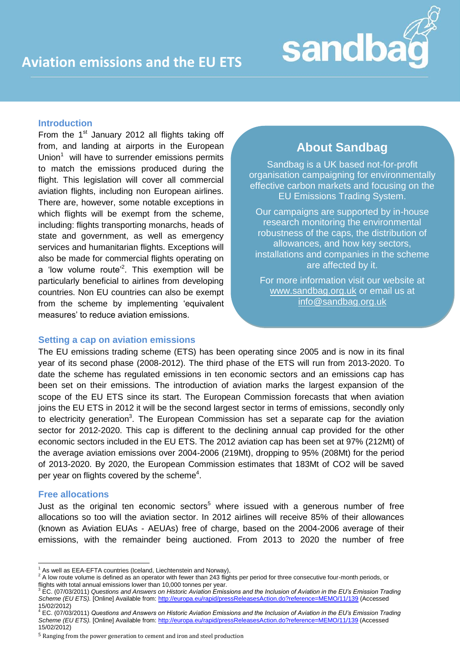

## **Introduction**

From the  $1<sup>st</sup>$  January 2012 all flights taking off from, and landing at airports in the European Union $<sup>1</sup>$  will have to surrender emissions permits</sup> to match the emissions produced during the flight. This legislation will cover all commercial aviation flights, including non European airlines. There are, however, some notable exceptions in which flights will be exempt from the scheme, including: flights transporting monarchs, heads of state and government, as well as emergency services and humanitarian flights. Exceptions will also be made for commercial flights operating on a 'low volume route'<sup>2</sup>. This exemption will be particularly beneficial to airlines from developing countries. Non EU countries can also be exempt from the scheme by implementing "equivalent measures' to reduce aviation emissions.

# **About Sandbag**

Sandbag is a UK based not-for-profit organisation campaigning for environmentally effective carbon markets and focusing on the EU Emissions Trading System.

Our campaigns are supported by in-house research monitoring the environmental robustness of the caps, the distribution of allowances, and how key sectors, installations and companies in the scheme are affected by it.

For more information visit our website at [www.sandbag.org.uk](http://www.sandbag.org.uk/) or email us at [info@sandbag.org.uk](mailto:info@sandbag.org.uk)

## **Setting a cap on aviation emissions**

The EU emissions trading scheme (ETS) has been operating since 2005 and is now in its final year of its second phase (2008-2012). The third phase of the ETS will run from 2013-2020. To date the scheme has regulated emissions in ten economic sectors and an emissions cap has been set on their emissions. The introduction of aviation marks the largest expansion of the scope of the EU ETS since its start. The European Commission forecasts that when aviation joins the EU ETS in 2012 it will be the second largest sector in terms of emissions, secondly only to electricity generation<sup>3</sup>. The European Commission has set a separate cap for the aviation sector for 2012-2020. This cap is different to the declining annual cap provided for the other economic sectors included in the EU ETS. The 2012 aviation cap has been set at 97% (212Mt) of the average aviation emissions over 2004-2006 (219Mt), dropping to 95% (208Mt) for the period of 2013-2020. By 2020, the European Commission estimates that 183Mt of CO2 will be saved per year on flights covered by the scheme<sup>4</sup>.

## **Free allocations**

 $\overline{a}$ 

Just as the original ten economic sectors<sup>5</sup> where issued with a generous number of free allocations so too will the aviation sector. In 2012 airlines will receive 85% of their allowances (known as Aviation EUAs - AEUAs) free of charge, based on the 2004-2006 average of their emissions, with the remainder being auctioned. From 2013 to 2020 the number of free

 $1$  As well as EEA-EFTA countries (Iceland, Liechtenstein and Norway),

<sup>2</sup> A low route volume is defined as an operator with fewer than 243 flights per period for three consecutive four-month periods, or flights with total annual emissions lower than 10,000 tonnes per year.

<sup>3</sup> EC. (07/03/2011) *Questions and Answers on Historic Aviation Emissions and the Inclusion of Aviation in the EU's Emission Trading Scheme (EU ETS).* [Online] Available from:<http://europa.eu/rapid/pressReleasesAction.do?reference=MEMO/11/139> (Accessed 15/02/2012)

<sup>4</sup> EC. (07/03/2011) *Questions and Answers on Historic Aviation Emissions and the Inclusion of Aviation in the EU's Emission Trading Scheme (EU ETS).* [Online] Available from:<http://europa.eu/rapid/pressReleasesAction.do?reference=MEMO/11/139> (Accessed 15/02/2012)

<sup>5</sup> Ranging from the power generation to cement and iron and steel production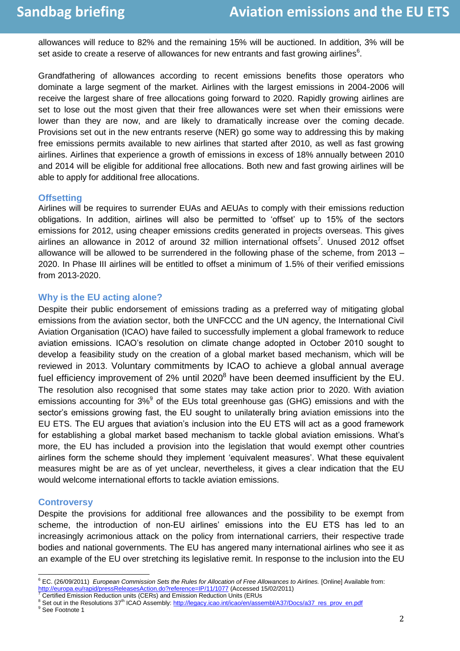allowances will reduce to 82% and the remaining 15% will be auctioned. In addition, 3% will be set aside to create a reserve of allowances for new entrants and fast growing airlines $^6$ .

Grandfathering of allowances according to recent emissions benefits those operators who dominate a large segment of the market. Airlines with the largest emissions in 2004-2006 will receive the largest share of free allocations going forward to 2020. Rapidly growing airlines are set to lose out the most given that their free allowances were set when their emissions were lower than they are now, and are likely to dramatically increase over the coming decade. Provisions set out in the new entrants reserve (NER) go some way to addressing this by making free emissions permits available to new airlines that started after 2010, as well as fast growing airlines. Airlines that experience a growth of emissions in excess of 18% annually between 2010 and 2014 will be eligible for additional free allocations. Both new and fast growing airlines will be able to apply for additional free allocations.

#### **Offsetting**

Airlines will be requires to surrender EUAs and AEUAs to comply with their emissions reduction obligations. In addition, airlines will also be permitted to "offset" up to 15% of the sectors emissions for 2012, using cheaper emissions credits generated in projects overseas. This gives airlines an allowance in 2012 of around 32 million international offsets<sup>7</sup>. Unused 2012 offset allowance will be allowed to be surrendered in the following phase of the scheme, from 2013 – 2020. In Phase III airlines will be entitled to offset a minimum of 1.5% of their verified emissions from 2013-2020.

#### **Why is the EU acting alone?**

Despite their public endorsement of emissions trading as a preferred way of mitigating global emissions from the aviation sector, both the UNFCCC and the UN agency, the International Civil Aviation Organisation (ICAO) have failed to successfully implement a global framework to reduce aviation emissions. ICAO"s resolution on climate change adopted in October 2010 sought to develop a feasibility study on the creation of a global market based mechanism, which will be reviewed in 2013. Voluntary commitments by ICAO to achieve a global annual average fuel efficiency improvement of 2% until 2020 $^8$  have been deemed insufficient by the EU. The resolution also recognised that some states may take action prior to 2020. With aviation emissions accounting for 3% $9$  of the EUs total greenhouse gas (GHG) emissions and with the sector"s emissions growing fast, the EU sought to unilaterally bring aviation emissions into the EU ETS. The EU argues that aviation"s inclusion into the EU ETS will act as a good framework for establishing a global market based mechanism to tackle global aviation emissions. What"s more, the EU has included a provision into the legislation that would exempt other countries airlines form the scheme should they implement "equivalent measures". What these equivalent measures might be are as of yet unclear, nevertheless, it gives a clear indication that the EU would welcome international efforts to tackle aviation emissions.

#### **Controversy**

Despite the provisions for additional free allowances and the possibility to be exempt from scheme, the introduction of non-EU airlines' emissions into the EU ETS has led to an increasingly acrimonious attack on the policy from international carriers, their respective trade bodies and national governments. The EU has angered many international airlines who see it as an example of the EU over stretching its legislative remit. In response to the inclusion into the EU

 $\overline{a}$ <sup>6</sup> EC. (26/09/2011) *European Commission Sets the Rules for Allocation of Free Allowances to Airlines.* [Online] Available from: <http://europa.eu/rapid/pressReleasesAction.do?reference=IP/11/1077> (Accessed 15/02/2011)

<sup>7</sup> Certified Emission Reduction units (CERs) and Emission Reduction Units (ERUs

<sup>8</sup> Set out in the Resolutions 37<sup>th</sup> ICAO Assembly[: http://legacy.icao.int/icao/en/assembl/A37/Docs/a37\\_res\\_prov\\_en.pdf](http://legacy.icao.int/icao/en/assembl/A37/Docs/a37_res_prov_en.pdf) <sup>9</sup> See Footnote 1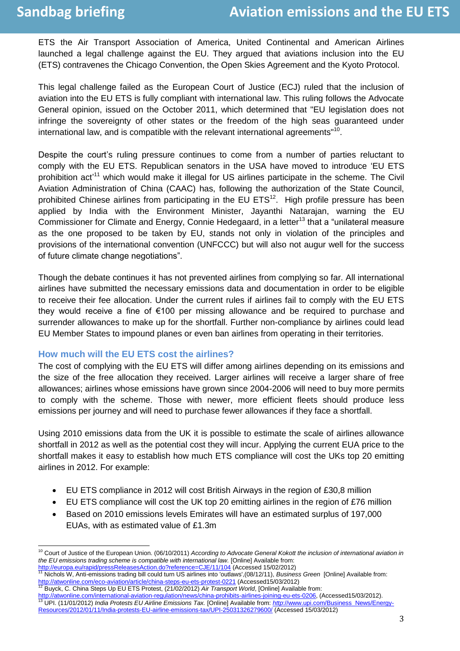ETS the Air Transport Association of America, United Continental and American Airlines launched a legal challenge against the EU. They argued that aviations inclusion into the EU (ETS) contravenes the Chicago Convention, the Open Skies Agreement and the Kyoto Protocol.

This legal challenge failed as the European Court of Justice (ECJ) ruled that the inclusion of aviation into the EU ETS is fully compliant with international law. This ruling follows the Advocate General opinion, issued on the October 2011, which determined that "EU legislation does not infringe the sovereignty of other states or the freedom of the high seas guaranteed under international law, and is compatible with the relevant international agreements"<sup>10</sup>.

Despite the court's ruling pressure continues to come from a number of parties reluctant to comply with the EU ETS. Republican senators in the USA have moved to introduce "EU ETS prohibition act'<sup>11</sup> which would make it illegal for US airlines participate in the scheme. The Civil Aviation Administration of China (CAAC) has, following the authorization of the State Council, prohibited Chinese airlines from participating in the EU ETS $^{12}$ . High profile pressure has been applied by India with the Environment Minister, Jayanthi Natarajan, warning the EU Commissioner for Climate and Energy, Connie Hedegaard, in a letter<sup>13</sup> that a "unilateral measure as the one proposed to be taken by EU, stands not only in violation of the principles and provisions of the international convention (UNFCCC) but will also not augur well for the success of future climate change negotiations".

Though the debate continues it has not prevented airlines from complying so far. All international airlines have submitted the necessary emissions data and documentation in order to be eligible to receive their fee allocation. Under the current rules if airlines fail to comply with the EU ETS they would receive a fine of €100 per missing allowance and be required to purchase and surrender allowances to make up for the shortfall. Further non-compliance by airlines could lead EU Member States to impound planes or even ban airlines from operating in their territories.

#### **How much will the EU ETS cost the airlines?**

The cost of complying with the EU ETS will differ among airlines depending on its emissions and the size of the free allocation they received. Larger airlines will receive a larger share of free allowances; airlines whose emissions have grown since 2004-2006 will need to buy more permits to comply with the scheme. Those with newer, more efficient fleets should produce less emissions per journey and will need to purchase fewer allowances if they face a shortfall.

Using 2010 emissions data from the UK it is possible to estimate the scale of airlines allowance shortfall in 2012 as well as the potential cost they will incur. Applying the current EUA price to the shortfall makes it easy to establish how much ETS compliance will cost the UKs top 20 emitting airlines in 2012. For example:

- EU ETS compliance in 2012 will cost British Airways in the region of £30,8 million
- EU ETS compliance will cost the UK top 20 emitting airlines in the region of £76 million
- Based on 2010 emissions levels Emirates will have an estimated surplus of 197,000 EUAs, with as estimated value of £1.3m

 $\overline{a}$ <sup>10</sup> Court of Justice of the European Union. (06/10/2011) *According to Advocate General Kokott the inclusion of international aviation in the EU emissions trading scheme is compatible with international law.* [Online] Available from:

<sup>&</sup>lt;u><http://europa.eu/rapid/pressReleasesAction.do?reference=CJE/11/104></u> (Accessed 15/02/2012)<br><sup>11</sup> Nichols W, Anti-emissions trading bill could turn US airlines into 'outlaws',(08/12/11), *Business Green* [Online] Available f <http://atwonline.com/eco-aviation/article/china-steps-eu-ets-protest-0221> (Accessed15/03/2012)

<sup>12</sup> Buyck, C. China Steps Up EU ETS Protest, (21/02/2012) *Air Transport World*, [Online] Available from:

[http://atwonline.com/international-aviation-regulation/news/china-prohibits-airlines-joining-eu-ets-0206,](http://atwonline.com/international-aviation-regulation/news/china-prohibits-airlines-joining-eu-ets-0206) (Accessed15/03/2012). <sup>13</sup> UPI. (11/01/2012) *India Protests EU Airline Emissions Tax.* [Online] Available from: *http*[://www.upi.com/Business\\_News/Energy-](http://www.upi.com/Business_News/Energy-Resources/2012/01/11/India-protests-EU-airline-emissions-tax/UPI-25031326279600/)[Resources/2012/01/11/India-protests-EU-airline-emissions-tax/UPI-25031326279600/](http://www.upi.com/Business_News/Energy-Resources/2012/01/11/India-protests-EU-airline-emissions-tax/UPI-25031326279600/) (Accessed 15/03/2012)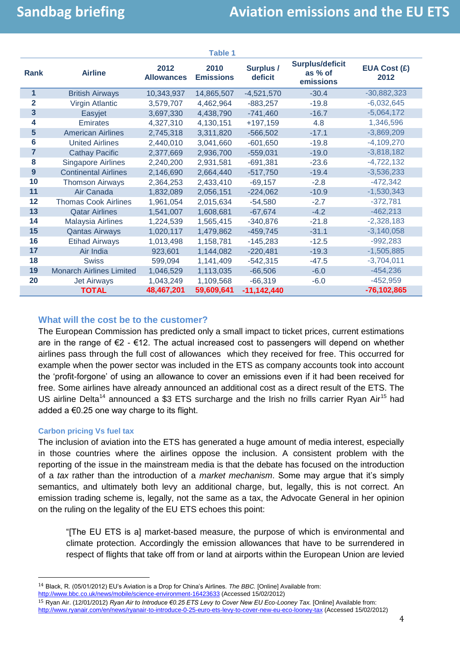| <b>Table 1</b>   |                                 |                           |                          |                             |                                                |                             |
|------------------|---------------------------------|---------------------------|--------------------------|-----------------------------|------------------------------------------------|-----------------------------|
| <b>Rank</b>      | <b>Airline</b>                  | 2012<br><b>Allowances</b> | 2010<br><b>Emissions</b> | <b>Surplus /</b><br>deficit | <b>Surplus/deficit</b><br>as % of<br>emissions | <b>EUA Cost (£)</b><br>2012 |
| 1                | <b>British Airways</b>          | 10,343,937                | 14,865,507               | $-4,521,570$                | $-30.4$                                        | $-30,882,323$               |
| $\overline{2}$   | <b>Virgin Atlantic</b>          | 3,579,707                 | 4,462,964                | $-883,257$                  | $-19.8$                                        | $-6,032,645$                |
| 3                | Easyjet                         | 3,697,330                 | 4,438,790                | $-741,460$                  | $-16.7$                                        | $-5,064,172$                |
| 4                | <b>Emirates</b>                 | 4,327,310                 | 4,130,151                | $+197,159$                  | 4.8                                            | 1,346,596                   |
| 5                | <b>American Airlines</b>        | 2,745,318                 | 3,311,820                | $-566,502$                  | $-17.1$                                        | $-3,869,209$                |
| 6                | <b>United Airlines</b>          | 2,440,010                 | 3,041,660                | $-601,650$                  | $-19.8$                                        | $-4,109,270$                |
| $\overline{7}$   | <b>Cathay Pacific</b>           | 2,377,669                 | 2,936,700                | $-559,031$                  | $-19.0$                                        | $-3,818,182$                |
| 8                | <b>Singapore Airlines</b>       | 2,240,200                 | 2,931,581                | $-691,381$                  | $-23.6$                                        | $-4,722,132$                |
| $\boldsymbol{9}$ | <b>Continental Airlines</b>     | 2,146,690                 | 2,664,440                | $-517,750$                  | $-19.4$                                        | $-3,536,233$                |
| 10               | <b>Thomson Airways</b>          | 2,364,253                 | 2,433,410                | $-69,157$                   | $-2.8$                                         | $-472,342$                  |
| 11               | Air Canada                      | 1,832,089                 | 2,056,151                | $-224,062$                  | $-10.9$                                        | $-1,530,343$                |
| 12               | <b>Thomas Cook Airlines</b>     | 1,961,054                 | 2,015,634                | $-54,580$                   | $-2.7$                                         | $-372,781$                  |
| 13               | <b>Qatar Airlines</b>           | 1,541,007                 | 1,608,681                | $-67,674$                   | $-4.2$                                         | $-462,213$                  |
| 14               | <b>Malaysia Airlines</b>        | 1,224,539                 | 1,565,415                | $-340,876$                  | $-21.8$                                        | $-2,328,183$                |
| 15               | <b>Qantas Airways</b>           | 1,020,117                 | 1,479,862                | $-459,745$                  | $-31.1$                                        | $-3,140,058$                |
| 16               | <b>Etihad Airways</b>           | 1,013,498                 | 1,158,781                | $-145,283$                  | $-12.5$                                        | $-992,283$                  |
| 17               | Air India                       | 923,601                   | 1,144,082                | $-220,481$                  | $-19.3$                                        | $-1,505,885$                |
| 18               | <b>Swiss</b>                    | 599,094                   | 1,141,409                | $-542,315$                  | $-47.5$                                        | $-3,704,011$                |
| 19               | <b>Monarch Airlines Limited</b> | 1,046,529                 | 1,113,035                | $-66,506$                   | $-6.0$                                         | $-454,236$                  |
| 20               | <b>Jet Airways</b>              | 1,043,249                 | 1,109,568                | $-66,319$                   | $-6.0$                                         | $-452,959$                  |
|                  | <b>TOTAL</b>                    | 48,467,201                | 59,609,641               | $-11,142,440$               |                                                | $-76, 102, 865$             |

### **What will the cost be to the customer?**

The European Commission has predicted only a small impact to ticket prices, current estimations are in the range of  $\epsilon$ 2 -  $\epsilon$ 12. The actual increased cost to passengers will depend on whether airlines pass through the full cost of allowances which they received for free. This occurred for example when the power sector was included in the ETS as company accounts took into account the "profit-forgone" of using an allowance to cover an emissions even if it had been received for free. Some airlines have already announced an additional cost as a direct result of the ETS. The US airline Delta<sup>14</sup> announced a \$3 ETS surcharge and the Irish no frills carrier Ryan Air<sup>15</sup> had added a €0.25 one way charge to its flight.

#### **Carbon pricing Vs fuel tax**

l

The inclusion of aviation into the ETS has generated a huge amount of media interest, especially in those countries where the airlines oppose the inclusion. A consistent problem with the reporting of the issue in the mainstream media is that the debate has focused on the introduction of a *tax* rather than the introduction of a *market mechanism*. Some may argue that it"s simply semantics, and ultimately both levy an additional charge, but, legally, this is not correct. An emission trading scheme is, legally, not the same as a tax, the Advocate General in her opinion on the ruling on the legality of the EU ETS echoes this point:

"[The EU ETS is a] market-based measure, the purpose of which is environmental and climate protection. Accordingly the emission allowances that have to be surrendered in respect of flights that take off from or land at airports within the European Union are levied

<http://www.bbc.co.uk/news/mobile/science-environment-16423633> (Accessed 15/02/2012)

<sup>14</sup> Black, R. (05/01/2012) EU"s Aviation is a Drop for China"s Airlines. *The BBC.* [Online] Available from:

<sup>15</sup> Ryan Air. (12/01/2012) *Ryan Air to Introduce €0.25 ETS Levy to Cover New EU Eco-Looney Tax.* [Online] Available from: <http://www.ryanair.com/en/news/ryanair-to-introduce-0-25-euro-ets-levy-to-cover-new-eu-eco-looney-tax> (Accessed 15/02/2012)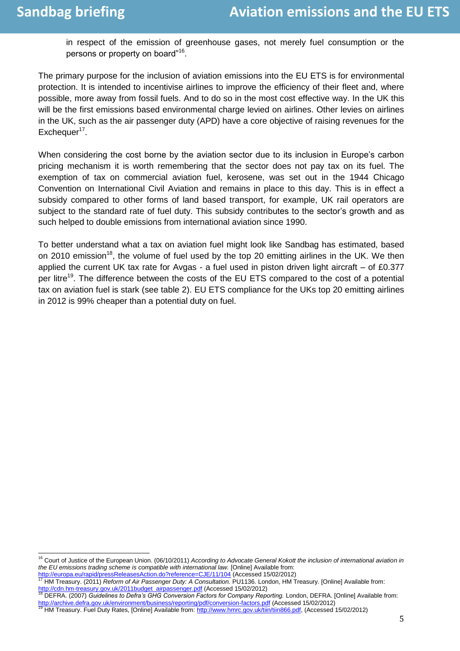in respect of the emission of greenhouse gases, not merely fuel consumption or the persons or property on board"<sup>16</sup>.

The primary purpose for the inclusion of aviation emissions into the EU ETS is for environmental protection. It is intended to incentivise airlines to improve the efficiency of their fleet and, where possible, more away from fossil fuels. And to do so in the most cost effective way. In the UK this will be the first emissions based environmental charge levied on airlines. Other levies on airlines in the UK, such as the air passenger duty (APD) have a core objective of raising revenues for the Exchequer<sup>17</sup>.

When considering the cost borne by the aviation sector due to its inclusion in Europe's carbon pricing mechanism it is worth remembering that the sector does not pay tax on its fuel. The exemption of tax on commercial aviation fuel, kerosene, was set out in the 1944 Chicago Convention on International Civil Aviation and remains in place to this day. This is in effect a subsidy compared to other forms of land based transport, for example, UK rail operators are subject to the standard rate of fuel duty. This subsidy contributes to the sector"s growth and as such helped to double emissions from international aviation since 1990.

To better understand what a tax on aviation fuel might look like Sandbag has estimated, based on 2010 emission<sup>18</sup>, the volume of fuel used by the top 20 emitting airlines in the UK. We then applied the current UK tax rate for Avgas - a fuel used in piston driven light aircraft – of £0.377 per litre<sup>19</sup>. The difference between the costs of the EU ETS compared to the cost of a potential tax on aviation fuel is stark (see table 2). EU ETS compliance for the UKs top 20 emitting airlines in 2012 is 99% cheaper than a potential duty on fuel.

<http://europa.eu/rapid/pressReleasesAction.do?reference=CJE/11/104> (Accessed 15/02/2012) <sup>17</sup> HM Treasury. (2011) *Reform of Air Passenger Duty: A Consultation.* PU1136. London, HM Treasury. [Online] Available from:

l

<sup>&</sup>lt;sup>16</sup> Court of Justice of the European Union. (06/10/2011) *According to Advocate General Kokott the inclusion of international aviation in the EU emissions trading scheme is compatible with international law.* [Online] Available from:

[http://cdn.hm-treasury.gov.uk/2011budget\\_airpassenger.pdf](http://cdn.hm-treasury.gov.uk/2011budget_airpassenger.pdf) (Accessed 15/02/2012)

<sup>18</sup> DEFRA. (2007) *Guidelines to Defra's GHG Conversion Factors for Company Reporting.* London, DEFRA. [Online] Available from: <u><http://archive.defra.gov.uk/environment/business/reporting/pdf/conversion-factors.pdf></u> (Accessed 15/02/2012)<br><sup>19</sup> HM Treasury. Fuel Duty Rates, [Online] Available from: <u>http://www.hmrc.gov.uk/tiin/tiin866.pdf</u>, (Accessed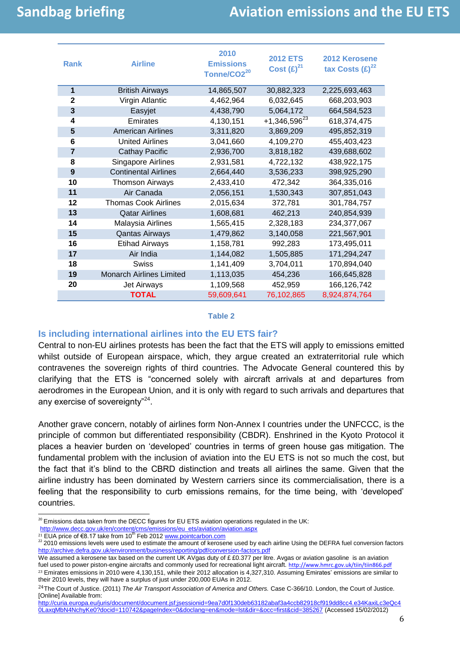# **Sandbag briefing Aviation emissions and the EU ETS**

| <b>Rank</b>    | <b>Airline</b>                  | 2010<br><b>Emissions</b><br>Tonne/CO2 <sup>20</sup> | <b>2012 ETS</b><br>Cost $(E)^{21}$ | 2012 Kerosene<br>tax Costs $(E)^{22}$ |
|----------------|---------------------------------|-----------------------------------------------------|------------------------------------|---------------------------------------|
| $\mathbf{1}$   | <b>British Airways</b>          | 14,865,507                                          | 30,882,323                         | 2,225,693,463                         |
| $\mathbf{2}$   | Virgin Atlantic                 | 4,462,964                                           | 6,032,645                          | 668,203,903                           |
| 3              | Easyjet                         | 4,438,790                                           | 5,064,172                          | 664,584,523                           |
| 4              | Emirates                        | 4,130,151                                           | $+1,346,596^{23}$                  | 618,374,475                           |
| 5              | <b>American Airlines</b>        | 3,311,820                                           | 3,869,209                          | 495,852,319                           |
| 6              | <b>United Airlines</b>          | 3,041,660                                           | 4,109,270                          | 455,403,423                           |
| $\overline{7}$ | <b>Cathay Pacific</b>           | 2,936,700                                           | 3,818,182                          | 439,688,602                           |
| 8              | Singapore Airlines              | 2,931,581                                           | 4,722,132                          | 438,922,175                           |
| 9              | <b>Continental Airlines</b>     | 2,664,440                                           | 3,536,233                          | 398,925,290                           |
| 10             | <b>Thomson Airways</b>          | 2,433,410                                           | 472,342                            | 364,335,016                           |
| 11             | Air Canada                      | 2,056,151                                           | 1,530,343                          | 307,851,043                           |
| 12             | <b>Thomas Cook Airlines</b>     | 2,015,634                                           | 372,781                            | 301,784,757                           |
| 13             | <b>Qatar Airlines</b>           | 1,608,681                                           | 462,213                            | 240,854,939                           |
| 14             | Malaysia Airlines               | 1,565,415                                           | 2,328,183                          | 234,377,067                           |
| 15             | <b>Qantas Airways</b>           | 1,479,862                                           | 3,140,058                          | 221,567,901                           |
| 16             | <b>Etihad Airways</b>           | 1,158,781                                           | 992,283                            | 173,495,011                           |
| 17             | Air India                       | 1,144,082                                           | 1,505,885                          | 171,294,247                           |
| 18             | <b>Swiss</b>                    | 1,141,409                                           | 3,704,011                          | 170,894,040                           |
| 19             | <b>Monarch Airlines Limited</b> | 1,113,035                                           | 454,236                            | 166,645,828                           |
| 20             | <b>Jet Airways</b>              | 1,109,568                                           | 452,959                            | 166,126,742                           |
|                | <b>TOTAL</b>                    | 59,609,641                                          | 76,102,865                         | 8,924,874,764                         |

#### **Table 2**

### **Is including international airlines into the EU ETS fair?**

Central to non-EU airlines protests has been the fact that the ETS will apply to emissions emitted whilst outside of European airspace, which, they argue created an extraterritorial rule which contravenes the sovereign rights of third countries. The Advocate General countered this by clarifying that the ETS is "concerned solely with aircraft arrivals at and departures from aerodromes in the European Union, and it is only with regard to such arrivals and departures that any exercise of sovereignty"<sup>24</sup>.

Another grave concern, notably of airlines form Non-Annex I countries under the UNFCCC, is the principle of common but differentiated responsibility (CBDR). Enshrined in the Kyoto Protocol it places a heavier burden on "developed" countries in terms of green house gas mitigation. The fundamental problem with the inclusion of aviation into the EU ETS is not so much the cost, but the fact that it"s blind to the CBRD distinction and treats all airlines the same. Given that the airline industry has been dominated by Western carriers since its commercialisation, there is a feeling that the responsibility to curb emissions remains, for the time being, with "developed" countries.

We assumed a kerosene tax based on the current UK AVgas duty of  $£ £0.377$  per litre. Avgas or aviation gasoline is an aviation fuel used to power piston-engine aircrafts and commonly used for recreational light aircraft. <http://www.hmrc.gov.uk/tiin/tiin866.pdf>

 $\overline{a}$  $^{20}$  Emissions data taken from the DECC figures for EU ETS aviation operations regulated in the UK:

[http://www.decc.gov.uk/en/content/cms/emissions/eu\\_ets/aviation/aviation.aspx](http://www.decc.gov.uk/en/content/cms/emissions/eu_ets/aviation/aviation.aspx)

<sup>&</sup>lt;sup>21</sup> EUA price of €8.17 take from 10<sup>th</sup> Feb 201[2 www.pointcarbon.com](http://www.pointcarbon.com/)

 $22$  2010 emissions levels were used to estimate the amount of kerosene used by each airline Using the DEFRA fuel conversion factors <http://archive.defra.gov.uk/environment/business/reporting/pdf/conversion-factors.pdf>

 $23$  Emirates emissions in 2010 were 4,130,151, while their 2012 allocation is 4,327,310. Assuming Emirates' emissions are similar to their 2010 levels, they will have a surplus of just under 200,000 EUAs in 2012.

<sup>24</sup>The Court of Justice. (2011) *The Air Transport Association of America and Others.* Case C-366/10. London, the Court of Justice. [Online] Available from:

[http://curia.europa.eu/juris/document/document.jsf;jsessionid=9ea7d0f130deb63182abaf3a4ccb82918cf919dd8cc4.e34KaxiLc3eQc4](http://curia.europa.eu/juris/document/document.jsf;jsessionid=9ea7d0f130deb63182abaf3a4ccb82918cf919dd8cc4.e34KaxiLc3eQc40LaxqMbN4NchyKe0?docid=110742&pageIndex=0&doclang=en&mode=lst&dir=&occ=first&cid=385267) [0LaxqMbN4NchyKe0?docid=110742&pageIndex=0&doclang=en&mode=lst&dir=&occ=first&cid=385267](http://curia.europa.eu/juris/document/document.jsf;jsessionid=9ea7d0f130deb63182abaf3a4ccb82918cf919dd8cc4.e34KaxiLc3eQc40LaxqMbN4NchyKe0?docid=110742&pageIndex=0&doclang=en&mode=lst&dir=&occ=first&cid=385267) (Accessed 15/02/2012)